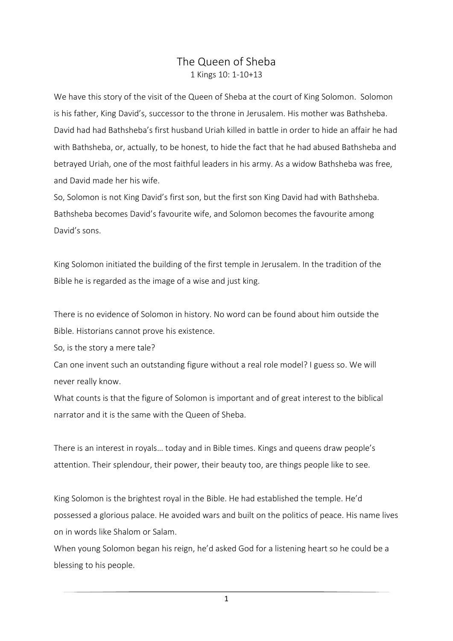## The Queen of Sheba 1 Kings 10: 1-10+13

We have this story of the visit of the Queen of Sheba at the court of King Solomon. Solomon is his father, King David's, successor to the throne in Jerusalem. His mother was Bathsheba. David had had Bathsheba's first husband Uriah killed in battle in order to hide an affair he had with Bathsheba, or, actually, to be honest, to hide the fact that he had abused Bathsheba and betrayed Uriah, one of the most faithful leaders in his army. As a widow Bathsheba was free, and David made her his wife.

So, Solomon is not King David's first son, but the first son King David had with Bathsheba. Bathsheba becomes David's favourite wife, and Solomon becomes the favourite among David's sons.

King Solomon initiated the building of the first temple in Jerusalem. In the tradition of the Bible he is regarded as the image of a wise and just king.

There is no evidence of Solomon in history. No word can be found about him outside the Bible. Historians cannot prove his existence.

So, is the story a mere tale?

Can one invent such an outstanding figure without a real role model? I guess so. We will never really know.

What counts is that the figure of Solomon is important and of great interest to the biblical narrator and it is the same with the Queen of Sheba.

There is an interest in royals… today and in Bible times. Kings and queens draw people's attention. Their splendour, their power, their beauty too, are things people like to see.

King Solomon is the brightest royal in the Bible. He had established the temple. He'd possessed a glorious palace. He avoided wars and built on the politics of peace. His name lives on in words like Shalom or Salam.

When young Solomon began his reign, he'd asked God for a listening heart so he could be a blessing to his people.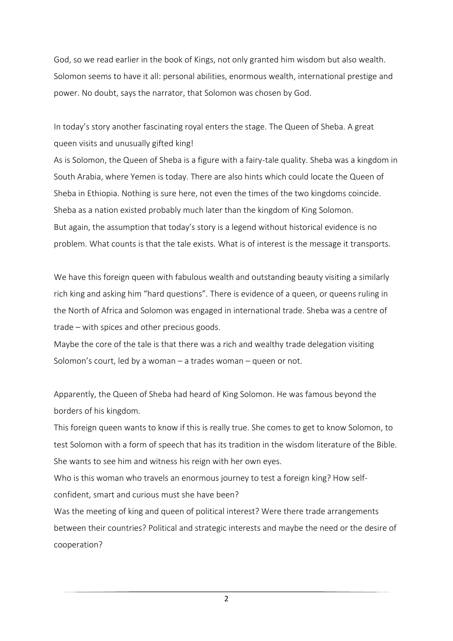God, so we read earlier in the book of Kings, not only granted him wisdom but also wealth. Solomon seems to have it all: personal abilities, enormous wealth, international prestige and power. No doubt, says the narrator, that Solomon was chosen by God.

In today's story another fascinating royal enters the stage. The Queen of Sheba. A great queen visits and unusually gifted king!

As is Solomon, the Queen of Sheba is a figure with a fairy-tale quality. Sheba was a kingdom in South Arabia, where Yemen is today. There are also hints which could locate the Queen of Sheba in Ethiopia. Nothing is sure here, not even the times of the two kingdoms coincide. Sheba as a nation existed probably much later than the kingdom of King Solomon. But again, the assumption that today's story is a legend without historical evidence is no problem. What counts is that the tale exists. What is of interest is the message it transports.

We have this foreign queen with fabulous wealth and outstanding beauty visiting a similarly rich king and asking him "hard questions". There is evidence of a queen, or queens ruling in the North of Africa and Solomon was engaged in international trade. Sheba was a centre of trade – with spices and other precious goods.

Maybe the core of the tale is that there was a rich and wealthy trade delegation visiting Solomon's court, led by a woman – a trades woman – queen or not.

Apparently, the Queen of Sheba had heard of King Solomon. He was famous beyond the borders of his kingdom.

This foreign queen wants to know if this is really true. She comes to get to know Solomon, to test Solomon with a form of speech that has its tradition in the wisdom literature of the Bible. She wants to see him and witness his reign with her own eyes.

Who is this woman who travels an enormous journey to test a foreign king? How selfconfident, smart and curious must she have been?

Was the meeting of king and queen of political interest? Were there trade arrangements between their countries? Political and strategic interests and maybe the need or the desire of cooperation?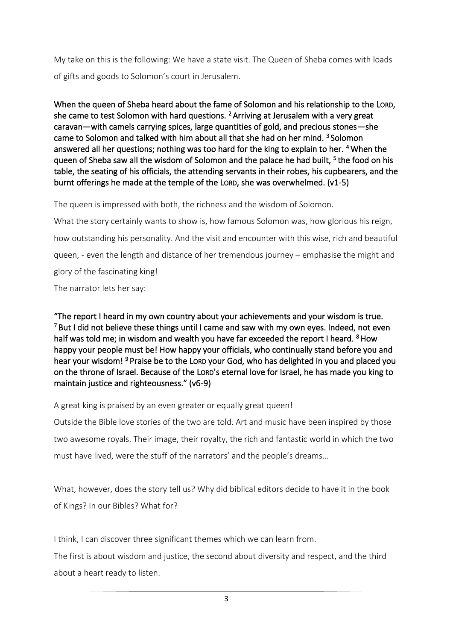My take on this is the following: We have a state visit. The Queen of Sheba comes with loads of gifts and goods to Solomon's court in Jerusalem.

When the queen of Sheba heard about the fame of Solomon and his relationship to the LORD, she came to test Solomon with hard questions. <sup>2</sup> Arriving at Jerusalem with a very great caravan—with camels carrying spices, large quantities of gold, and precious stones—she came to Solomon and talked with him about all that she had on her mind. <sup>3</sup> Solomon answered all her questions; nothing was too hard for the king to explain to her. <sup>4</sup>When the queen of Sheba saw all the wisdom of Solomon and the palace he had built, <sup>5</sup> the food on his table, the seating of his officials, the attending servants in their robes, his cupbearers, and the burnt offerings he made at the temple of the LORD, she was overwhelmed. (v1-5)

The queen is impressed with both, the richness and the wisdom of Solomon.

What the story certainly wants to show is, how famous Solomon was, how glorious his reign, how outstanding his personality. And the visit and encounter with this wise, rich and beautiful queen, - even the length and distance of her tremendous journey – emphasise the might and glory of the fascinating king! The narrator lets her say:

"The report I heard in my own country about your achievements and your wisdom is true.  $7$  But I did not believe these things until I came and saw with my own eyes. Indeed, not even half was told me; in wisdom and wealth you have far exceeded the report I heard. <sup>8</sup> How happy your people must be! How happy your officials, who continually stand before you and hear your wisdom!<sup>9</sup> Praise be to the Lorn your God, who has delighted in you and placed you on the throne of Israel. Because of the LORD's eternal love for Israel, he has made you king to maintain justice and righteousness." (v6-9)

A great king is praised by an even greater or equally great queen!

Outside the Bible love stories of the two are told. Art and music have been inspired by those two awesome royals. Their image, their royalty, the rich and fantastic world in which the two must have lived, were the stuff of the narrators' and the people's dreams…

What, however, does the story tell us? Why did biblical editors decide to have it in the book of Kings? In our Bibles? What for?

I think, I can discover three significant themes which we can learn from.

The first is about wisdom and justice, the second about diversity and respect, and the third about a heart ready to listen.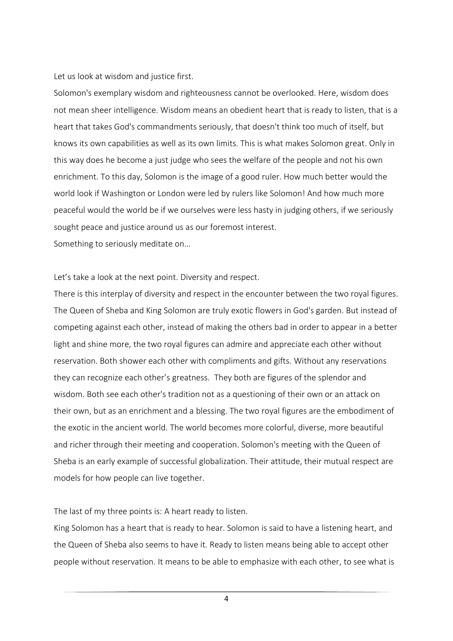Let us look at wisdom and justice first.

Solomon's exemplary wisdom and righteousness cannot be overlooked. Here, wisdom does not mean sheer intelligence. Wisdom means an obedient heart that is ready to listen, that is a heart that takes God's commandments seriously, that doesn't think too much of itself, but knows its own capabilities as well as its own limits. This is what makes Solomon great. Only in this way does he become a just judge who sees the welfare of the people and not his own enrichment. To this day, Solomon is the image of a good ruler. How much better would the world look if Washington or London were led by rulers like Solomon! And how much more peaceful would the world be if we ourselves were less hasty in judging others, if we seriously sought peace and justice around us as our foremost interest. Something to seriously meditate on…

Let's take a look at the next point. Diversity and respect.

There is this interplay of diversity and respect in the encounter between the two royal figures. The Queen of Sheba and King Solomon are truly exotic flowers in God's garden. But instead of competing against each other, instead of making the others bad in order to appear in a better light and shine more, the two royal figures can admire and appreciate each other without reservation. Both shower each other with compliments and gifts. Without any reservations they can recognize each other's greatness. They both are figures of the splendor and wisdom. Both see each other's tradition not as a questioning of their own or an attack on their own, but as an enrichment and a blessing. The two royal figures are the embodiment of the exotic in the ancient world. The world becomes more colorful, diverse, more beautiful and richer through their meeting and cooperation. Solomon's meeting with the Queen of Sheba is an early example of successful globalization. Their attitude, their mutual respect are models for how people can live together.

The last of my three points is: A heart ready to listen.

King Solomon has a heart that is ready to hear. Solomon is said to have a listening heart, and the Queen of Sheba also seems to have it. Ready to listen means being able to accept other people without reservation. It means to be able to emphasize with each other, to see what is

4